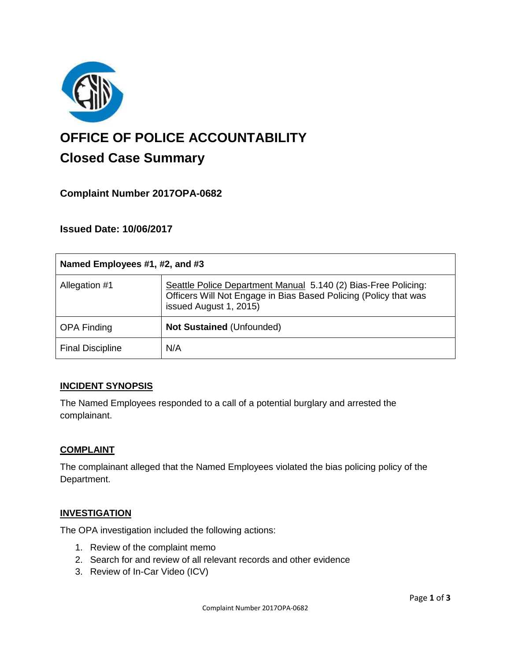

# **OFFICE OF POLICE ACCOUNTABILITY**

# **Closed Case Summary**

# **Complaint Number 2017OPA-0682**

# **Issued Date: 10/06/2017**

| Named Employees #1, #2, and #3 |                                                                                                                                                              |
|--------------------------------|--------------------------------------------------------------------------------------------------------------------------------------------------------------|
| Allegation #1                  | Seattle Police Department Manual 5.140 (2) Bias-Free Policing:<br>Officers Will Not Engage in Bias Based Policing (Policy that was<br>issued August 1, 2015) |
| <b>OPA Finding</b>             | <b>Not Sustained (Unfounded)</b>                                                                                                                             |
| <b>Final Discipline</b>        | N/A                                                                                                                                                          |

#### **INCIDENT SYNOPSIS**

The Named Employees responded to a call of a potential burglary and arrested the complainant.

#### **COMPLAINT**

The complainant alleged that the Named Employees violated the bias policing policy of the Department.

# **INVESTIGATION**

The OPA investigation included the following actions:

- 1. Review of the complaint memo
- 2. Search for and review of all relevant records and other evidence
- 3. Review of In-Car Video (ICV)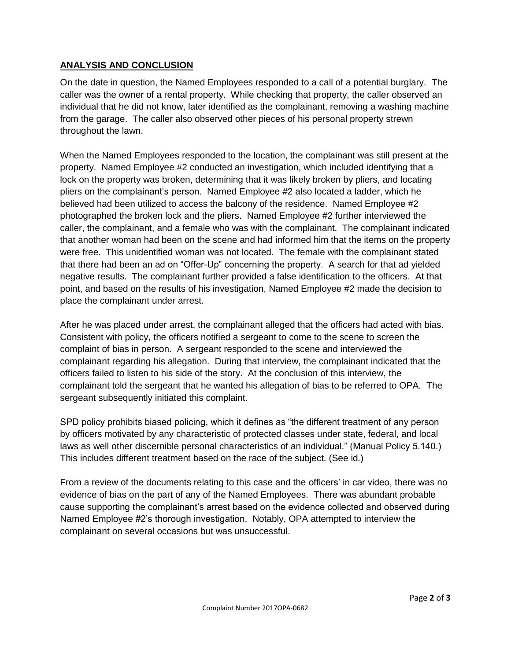### **ANALYSIS AND CONCLUSION**

On the date in question, the Named Employees responded to a call of a potential burglary. The caller was the owner of a rental property. While checking that property, the caller observed an individual that he did not know, later identified as the complainant, removing a washing machine from the garage. The caller also observed other pieces of his personal property strewn throughout the lawn.

When the Named Employees responded to the location, the complainant was still present at the property. Named Employee #2 conducted an investigation, which included identifying that a lock on the property was broken, determining that it was likely broken by pliers, and locating pliers on the complainant's person. Named Employee #2 also located a ladder, which he believed had been utilized to access the balcony of the residence. Named Employee #2 photographed the broken lock and the pliers. Named Employee #2 further interviewed the caller, the complainant, and a female who was with the complainant. The complainant indicated that another woman had been on the scene and had informed him that the items on the property were free. This unidentified woman was not located. The female with the complainant stated that there had been an ad on "Offer-Up" concerning the property. A search for that ad yielded negative results. The complainant further provided a false identification to the officers. At that point, and based on the results of his investigation, Named Employee #2 made the decision to place the complainant under arrest.

After he was placed under arrest, the complainant alleged that the officers had acted with bias. Consistent with policy, the officers notified a sergeant to come to the scene to screen the complaint of bias in person. A sergeant responded to the scene and interviewed the complainant regarding his allegation. During that interview, the complainant indicated that the officers failed to listen to his side of the story. At the conclusion of this interview, the complainant told the sergeant that he wanted his allegation of bias to be referred to OPA. The sergeant subsequently initiated this complaint.

SPD policy prohibits biased policing, which it defines as "the different treatment of any person by officers motivated by any characteristic of protected classes under state, federal, and local laws as well other discernible personal characteristics of an individual." (Manual Policy 5.140.) This includes different treatment based on the race of the subject. (See id.)

From a review of the documents relating to this case and the officers' in car video, there was no evidence of bias on the part of any of the Named Employees. There was abundant probable cause supporting the complainant's arrest based on the evidence collected and observed during Named Employee #2's thorough investigation. Notably, OPA attempted to interview the complainant on several occasions but was unsuccessful.